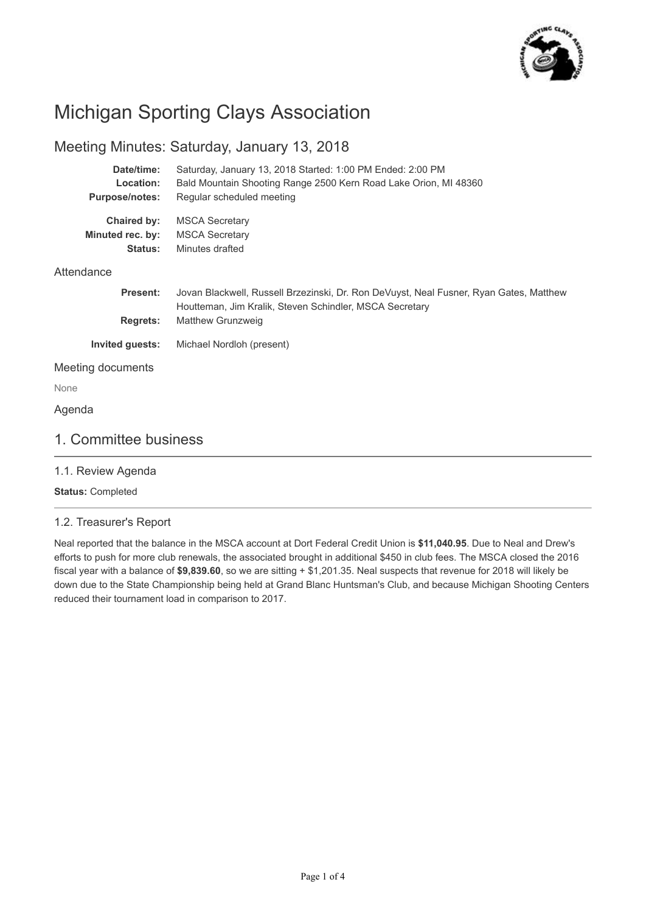

## Michigan Sporting Clays Association

## Meeting Minutes: Saturday, January 13, 2018

| Date/time:<br>Location:<br><b>Purpose/notes:</b>  | Saturday, January 13, 2018 Started: 1:00 PM Ended: 2:00 PM<br>Bald Mountain Shooting Range 2500 Kern Road Lake Orion, MI 48360<br>Regular scheduled meeting |  |  |  |  |
|---------------------------------------------------|-------------------------------------------------------------------------------------------------------------------------------------------------------------|--|--|--|--|
| Chaired by:<br>Minuted rec. by:<br><b>Status:</b> | <b>MSCA Secretary</b><br><b>MSCA Secretary</b><br>Minutes drafted                                                                                           |  |  |  |  |
| Attendance                                        |                                                                                                                                                             |  |  |  |  |
| <b>Present:</b>                                   | Jovan Blackwell, Russell Brzezinski, Dr. Ron DeVuyst, Neal Fusner, Ryan Gates, Matthew<br>Houtteman, Jim Kralik, Steven Schindler, MSCA Secretary           |  |  |  |  |
| <b>Regrets:</b>                                   | Matthew Grunzweig                                                                                                                                           |  |  |  |  |
| <b>Invited guests:</b>                            | Michael Nordloh (present)                                                                                                                                   |  |  |  |  |
| Meeting documents                                 |                                                                                                                                                             |  |  |  |  |
| None                                              |                                                                                                                                                             |  |  |  |  |
| Agenda                                            |                                                                                                                                                             |  |  |  |  |
| 1. Committee business                             |                                                                                                                                                             |  |  |  |  |

1.1. Review Agenda

**Status:** Completed

#### 1.2. Treasurer's Report

Neal reported that the balance in the MSCA account at Dort Federal Credit Union is **\$11,040.95**. Due to Neal and Drew's efforts to push for more club renewals, the associated brought in additional \$450 in club fees. The MSCA closed the 2016 fiscal year with a balance of **\$9,839.60**, so we are sitting + \$1,201.35. Neal suspects that revenue for 2018 will likely be down due to the State Championship being held at Grand Blanc Huntsman's Club, and because Michigan Shooting Centers reduced their tournament load in comparison to 2017.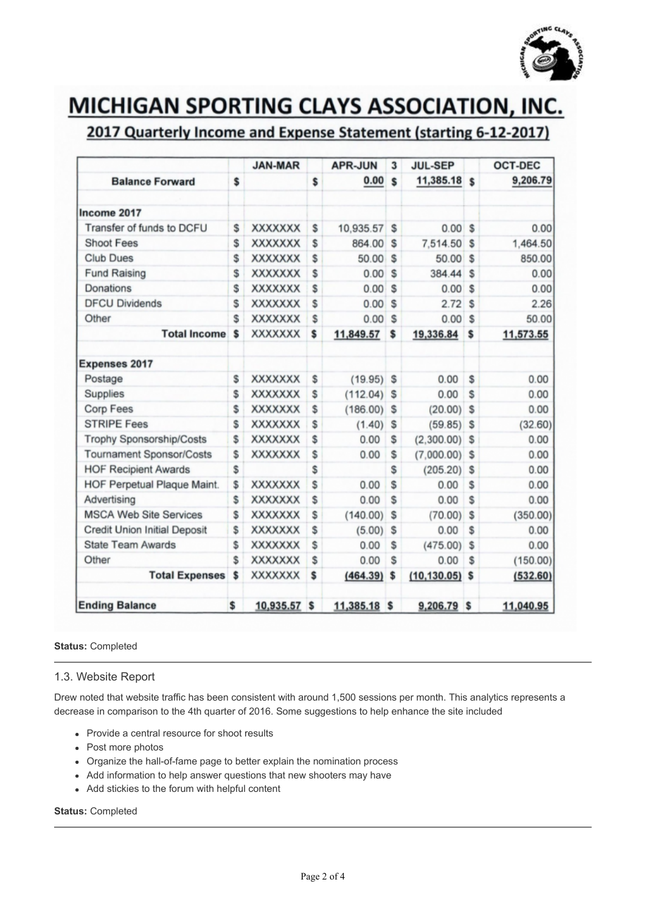

# **MICHIGAN SPORTING CLAYS ASSOCIATION, INC.**

## 2017 Quarterly Income and Expense Statement (starting 6-12-2017)

|                                     |    | <b>JAN-MAR</b>  | <b>APR-JUN</b>  | 3  | <b>JUL-SEP</b>    |    | <b>OCT-DEC</b> |
|-------------------------------------|----|-----------------|-----------------|----|-------------------|----|----------------|
| <b>Balance Forward</b>              |    |                 | \$<br>0.00      | \$ | 11,385.18 \$      |    | 9,206.79       |
| Income 2017                         |    |                 |                 |    |                   |    |                |
| Transfer of funds to DCFU           |    | <b>XXXXXXX</b>  | \$<br>10,935.57 | \$ | $0.00$ \$         |    | 0.00           |
| <b>Shoot Fees</b>                   | \$ | <b>XXXXXXXX</b> | \$<br>864.00    | \$ | 7,514.50          | S  | 1,464.50       |
| <b>Club Dues</b>                    |    | <b>XXXXXXX</b>  | \$<br>50.00     | \$ | 50.00             | \$ | 850.00         |
| <b>Fund Raising</b>                 |    | <b>XXXXXXX</b>  | \$<br>0.00      | \$ | 384.44            | \$ | 0.00           |
| Donations                           |    | <b>XXXXXXX</b>  | \$<br>0.00      | \$ | 0.00S             |    | 0.00           |
| <b>DFCU Dividends</b>               |    | <b>XXXXXXX</b>  | \$<br>0.00      | \$ | 2.72              | Ŝ  | 2.26           |
| Other                               | \$ | <b>XXXXXXX</b>  | \$<br>0.00      | \$ | 0.00              | \$ | 50.00          |
| <b>Total Income</b>                 | \$ | XXXXXXX         | \$<br>11,849.57 | \$ | 19,336.84         | \$ | 11,573.55      |
| <b>Expenses 2017</b>                |    |                 |                 |    |                   |    |                |
| Postage                             | S  | <b>XXXXXXX</b>  | \$<br>(19.95)   | \$ | 0.00              | \$ | 0.00           |
| Supplies                            | \$ | <b>XXXXXXX</b>  | \$<br>(112.04)  | S  | 0.00              | \$ | 0.00           |
| Corp Fees                           | \$ | <b>XXXXXXX</b>  | \$<br>(186.00)  | \$ | (20.00)           | s  | 0.00           |
| <b>STRIPE Fees</b>                  | Ŝ  | <b>XXXXXXX</b>  | \$<br>(1.40)    | S  | $(59.85)$ \$      |    | (32.60)        |
| <b>Trophy Sponsorship/Costs</b>     | \$ | <b>XXXXXXX</b>  | \$<br>0.00      | S  | (2,300.00)        | \$ | 0.00           |
| <b>Tournament Sponsor/Costs</b>     |    | <b>XXXXXXX</b>  | \$<br>0.00      | \$ | $(7,000.00)$ \$   |    | 0.00           |
| <b>HOF Recipient Awards</b>         | \$ |                 | \$              | \$ | (205.20)          | \$ | 0.00           |
| HOF Perpetual Plaque Maint.         | \$ | <b>XXXXXXX</b>  | \$<br>0.00      | Ŝ  | 0.00              | \$ | 0.00           |
| Advertising                         | \$ | <b>XXXXXXX</b>  | \$<br>0.00      | S  | 0.00              | \$ | 0.00           |
| <b>MSCA Web Site Services</b>       | \$ | <b>XXXXXXX</b>  | \$<br>(140.00)  | S  | (70.00)           | \$ | (350.00)       |
| <b>Credit Union Initial Deposit</b> | \$ | <b>XXXXXXX</b>  | \$<br>(5.00)    | S  | 0.00              | \$ | 0.00           |
| <b>State Team Awards</b>            | \$ | <b>XXXXXXX</b>  | \$<br>0.00      | S  | (475.00)          | \$ | 0.00           |
| Other                               | \$ | <b>XXXXXXX</b>  | \$<br>0.00      | S  | 0.00              | \$ | (150.00)       |
| <b>Total Expenses</b>               | \$ | <b>XXXXXXX</b>  | \$<br>(464.39)  | \$ | $(10, 130.05)$ \$ |    | (532.60)       |
| <b>Ending Balance</b>               |    | 10,935.57       | \$<br>11,385.18 | s  | $9,206.79$ \$     |    | 11,040.95      |

#### **Status:** Completed

#### 1.3. Website Report

Drew noted that website traffic has been consistent with around 1,500 sessions per month. This analytics represents a decrease in comparison to the 4th quarter of 2016. Some suggestions to help enhance the site included

- Provide a central resource for shoot results
- Post more photos
- Organize the hall-of-fame page to better explain the nomination process
- Add information to help answer questions that new shooters may have
- Add stickies to the forum with helpful content

#### **Status:** Completed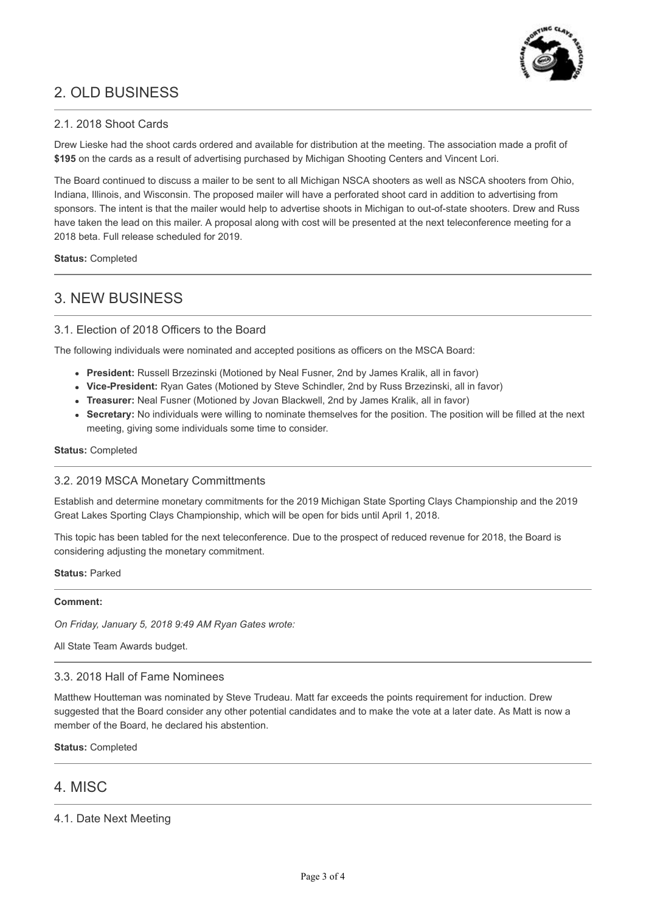

## 2. OLD BUSINESS

#### 2.1. 2018 Shoot Cards

Drew Lieske had the shoot cards ordered and available for distribution at the meeting. The association made a profit of **\$195** on the cards as a result of advertising purchased by Michigan Shooting Centers and Vincent Lori.

The Board continued to discuss a mailer to be sent to all Michigan NSCA shooters as well as NSCA shooters from Ohio, Indiana, Illinois, and Wisconsin. The proposed mailer will have a perforated shoot card in addition to advertising from sponsors. The intent is that the mailer would help to advertise shoots in Michigan to out-of-state shooters. Drew and Russ have taken the lead on this mailer. A proposal along with cost will be presented at the next teleconference meeting for a 2018 beta. Full release scheduled for 2019.

**Status:** Completed

## 3. NEW BUSINESS

#### 3.1. Election of 2018 Officers to the Board

The following individuals were nominated and accepted positions as officers on the MSCA Board:

- **President:** Russell Brzezinski (Motioned by Neal Fusner, 2nd by James Kralik, all in favor)
- **Vice-President:** Ryan Gates (Motioned by Steve Schindler, 2nd by Russ Brzezinski, all in favor)
- **Treasurer:** Neal Fusner (Motioned by Jovan Blackwell, 2nd by James Kralik, all in favor)
- **Secretary:** No individuals were willing to nominate themselves for the position. The position will be filled at the next meeting, giving some individuals some time to consider.

**Status:** Completed

#### 3.2. 2019 MSCA Monetary Committments

Establish and determine monetary commitments for the 2019 Michigan State Sporting Clays Championship and the 2019 Great Lakes Sporting Clays Championship, which will be open for bids until April 1, 2018.

This topic has been tabled for the next teleconference. Due to the prospect of reduced revenue for 2018, the Board is considering adjusting the monetary commitment.

**Status:** Parked

#### **Comment:**

*On Friday, January 5, 2018 9:49 AM Ryan Gates wrote:*

All State Team Awards budget.

#### 3.3. 2018 Hall of Fame Nominees

Matthew Houtteman was nominated by Steve Trudeau. Matt far exceeds the points requirement for induction. Drew suggested that the Board consider any other potential candidates and to make the vote at a later date. As Matt is now a member of the Board, he declared his abstention.

**Status:** Completed

### 4. MISC

#### 4.1. Date Next Meeting